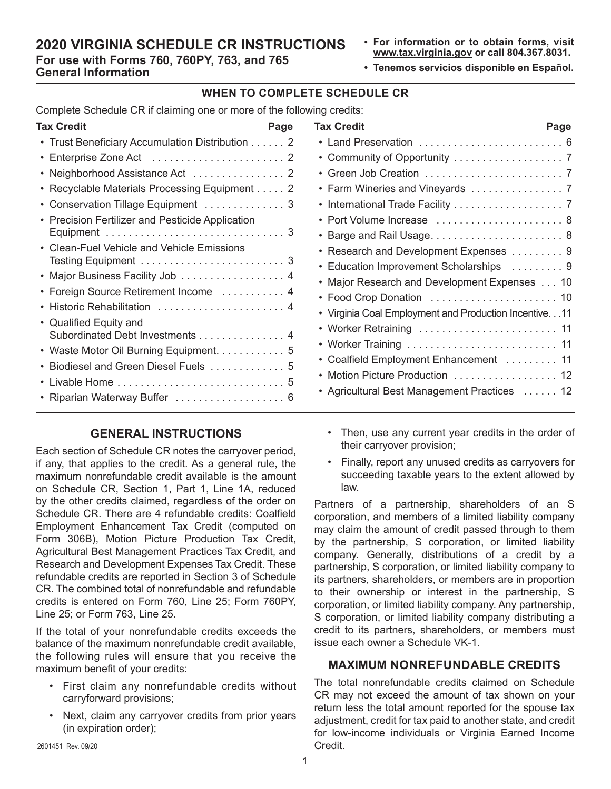# **2020 VIRGINIA SCHEDULE CR INSTRUCTIONS For use with Forms 760, 760PY, 763, and 765 General Information**

- **• For information or to obtain forms, visit www.tax.virginia.gov or call 804.367.8031.**
- **• Tenemos servicios disponible en Español.**

# **WHEN TO COMPLETE SCHEDULE CR**

Complete Schedule CR if claiming one or more of the following credits:

| Tax Credit                                     | Page |
|------------------------------------------------|------|
| Trust Beneficiary Accumulation Distribution 2  |      |
|                                                |      |
|                                                |      |
| Recyclable Materials Processing Equipment 2    |      |
| Conservation Tillage Equipment  3              |      |
| Precision Fertilizer and Pesticide Application |      |
|                                                |      |
| • Clean-Fuel Vehicle and Vehicle Emissions     |      |
|                                                |      |
| Major Business Facility Job 4                  |      |
| Foreign Source Retirement Income  4            |      |
| Historic Rehabilitation  4                     |      |
| • Qualified Equity and                         |      |
| Subordinated Debt Investments 4                |      |
| • Waste Motor Oil Burning Equipment. 5         |      |
| Biodiesel and Green Diesel Fuels  5            |      |
|                                                |      |
| Riparian Waterway Buffer                       | 6    |
|                                                |      |

# **GENERAL INSTRUCTIONS**

Each section of Schedule CR notes the carryover period, if any, that applies to the credit. As a general rule, the maximum nonrefundable credit available is the amount on Schedule CR, Section 1, Part 1, Line 1A, reduced by the other credits claimed, regardless of the order on Schedule CR. There are 4 refundable credits: Coalfield Employment Enhancement Tax Credit (computed on Form 306B), Motion Picture Production Tax Credit, Agricultural Best Management Practices Tax Credit, and Research and Development Expenses Tax Credit. These refundable credits are reported in Section 3 of Schedule CR. The combined total of nonrefundable and refundable credits is entered on Form 760, Line 25; Form 760PY, Line 25; or Form 763, Line 25.

If the total of your nonrefundable credits exceeds the balance of the maximum nonrefundable credit available, the following rules will ensure that you receive the maximum benefit of your credits:

- First claim any nonrefundable credits without carryforward provisions;
- Next, claim any carryover credits from prior years (in expiration order);

| Tax Credit<br>Page                                      |
|---------------------------------------------------------|
| • Land Preservation  6                                  |
|                                                         |
|                                                         |
|                                                         |
| • International Trade Facility 7                        |
| • Port Volume Increase  8                               |
|                                                         |
| Research and Development Expenses  9                    |
| • Education Improvement Scholarships  9                 |
| • Major Research and Development Expenses 10            |
| • Food Crop Donation  10                                |
| • Virginia Coal Employment and Production Incentive. 11 |
| • Worker Retraining  11                                 |
| • Worker Training  11                                   |
| • Coalfield Employment Enhancement 11                   |
| Motion Picture Production  12                           |
| • Agricultural Best Management Practices  12            |

- Then, use any current year credits in the order of their carryover provision;
- Finally, report any unused credits as carryovers for succeeding taxable years to the extent allowed by law.

Partners of a partnership, shareholders of an S corporation, and members of a limited liability company may claim the amount of credit passed through to them by the partnership, S corporation, or limited liability company. Generally, distributions of a credit by a partnership, S corporation, or limited liability company to its partners, shareholders, or members are in proportion to their ownership or interest in the partnership, S corporation, or limited liability company. Any partnership, S corporation, or limited liability company distributing a credit to its partners, shareholders, or members must issue each owner a Schedule VK-1.

## **MAXIMUM NONREFUNDABLE CREDITS**

The total nonrefundable credits claimed on Schedule CR may not exceed the amount of tax shown on your return less the total amount reported for the spouse tax adjustment, credit for tax paid to another state, and credit for low-income individuals or Virginia Earned Income Credit.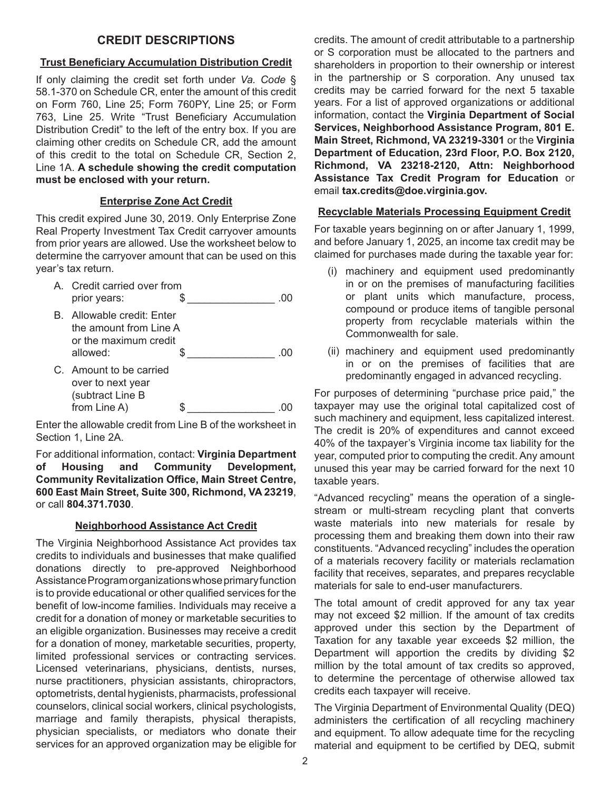# **CREDIT DESCRIPTIONS**

### **Trust Beneficiary Accumulation Distribution Credit**

If only claiming the credit set forth under *Va. Code* § 58.1-370 on Schedule CR, enter the amount of this credit on Form 760, Line 25; Form 760PY, Line 25; or Form 763, Line 25. Write "Trust Beneficiary Accumulation Distribution Credit" to the left of the entry box. If you are claiming other credits on Schedule CR, add the amount of this credit to the total on Schedule CR, Section 2, Line 1A. **A schedule showing the credit computation must be enclosed with your return.**

#### **Enterprise Zone Act Credit**

This credit expired June 30, 2019. Only Enterprise Zone Real Property Investment Tax Credit carryover amounts from prior years are allowed. Use the worksheet below to determine the carryover amount that can be used on this year's tax return.

A. Credit carried over from prior years:  $\qquad \qquad$  \$ .00 B. Allowable credit: Enter the amount from Line A or the maximum credit allowed: \$ C. Amount to be carried over to next year (subtract Line B  $from Line A)$   $\qquad$   $\qquad$   $\qquad$  .00

Enter the allowable credit from Line B of the worksheet in Section 1, Line 2A.

For additional information, contact: **Virginia Department of Housing and Community Development, Community Revitalization Office, Main Street Centre, 600 East Main Street, Suite 300, Richmond, VA 23219**, or call **804.371.7030**.

### **Neighborhood Assistance Act Credit**

The Virginia Neighborhood Assistance Act provides tax credits to individuals and businesses that make qualified donations directly to pre-approved Neighborhood Assistance Program organizations whose primary function is to provide educational or other qualified services for the benefit of low-income families. Individuals may receive a credit for a donation of money or marketable securities to an eligible organization. Businesses may receive a credit for a donation of money, marketable securities, property, limited professional services or contracting services. Licensed veterinarians, physicians, dentists, nurses, nurse practitioners, physician assistants, chiropractors, optometrists, dental hygienists, pharmacists, professional counselors, clinical social workers, clinical psychologists, marriage and family therapists, physical therapists, physician specialists, or mediators who donate their services for an approved organization may be eligible for

credits. The amount of credit attributable to a partnership or S corporation must be allocated to the partners and shareholders in proportion to their ownership or interest in the partnership or S corporation. Any unused tax credits may be carried forward for the next 5 taxable years. For a list of approved organizations or additional information, contact the **Virginia Department of Social Services, Neighborhood Assistance Program, 801 E. Main Street, Richmond, VA 23219-3301** or the **Virginia Department of Education, 23rd Floor, P.O. Box 2120, Richmond, VA 23218-2120, Attn: Neighborhood Assistance Tax Credit Program for Education** or email **tax.credits@doe.virginia.gov.**

#### **Recyclable Materials Processing Equipment Credit**

For taxable years beginning on or after January 1, 1999, and before January 1, 2025, an income tax credit may be claimed for purchases made during the taxable year for:

- (i) machinery and equipment used predominantly in or on the premises of manufacturing facilities or plant units which manufacture, process, compound or produce items of tangible personal property from recyclable materials within the Commonwealth for sale.
- (ii) machinery and equipment used predominantly in or on the premises of facilities that are predominantly engaged in advanced recycling.

For purposes of determining "purchase price paid," the taxpayer may use the original total capitalized cost of such machinery and equipment, less capitalized interest. The credit is 20% of expenditures and cannot exceed 40% of the taxpayer's Virginia income tax liability for the year, computed prior to computing the credit. Any amount unused this year may be carried forward for the next 10 taxable years.

"Advanced recycling" means the operation of a singlestream or multi-stream recycling plant that converts waste materials into new materials for resale by processing them and breaking them down into their raw constituents. "Advanced recycling" includes the operation of a materials recovery facility or materials reclamation facility that receives, separates, and prepares recyclable materials for sale to end-user manufacturers.

The total amount of credit approved for any tax year may not exceed \$2 million. If the amount of tax credits approved under this section by the Department of Taxation for any taxable year exceeds \$2 million, the Department will apportion the credits by dividing \$2 million by the total amount of tax credits so approved, to determine the percentage of otherwise allowed tax credits each taxpayer will receive.

The Virginia Department of Environmental Quality (DEQ) administers the certification of all recycling machinery and equipment. To allow adequate time for the recycling material and equipment to be certified by DEQ, submit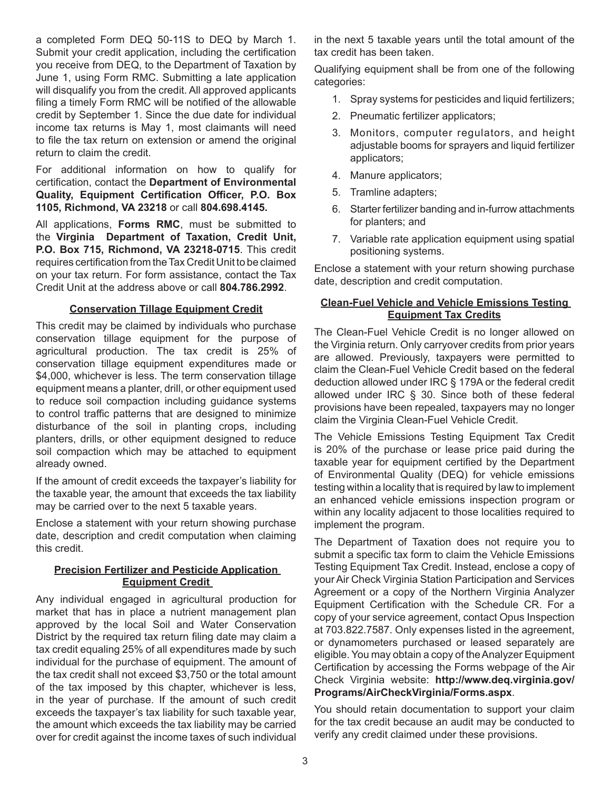a completed Form DEQ 50-11S to DEQ by March 1. Submit your credit application, including the certification you receive from DEQ, to the Department of Taxation by June 1, using Form RMC. Submitting a late application will disqualify you from the credit. All approved applicants filing a timely Form RMC will be notified of the allowable credit by September 1. Since the due date for individual income tax returns is May 1, most claimants will need to file the tax return on extension or amend the original return to claim the credit.

For additional information on how to qualify for certification, contact the **Department of Environmental Quality, Equipment Certification Officer, P.O. Box 1105, Richmond, VA 23218** or call **804.698.4145.**

All applications, **Forms RMC**, must be submitted to the **Virginia Department of Taxation, Credit Unit, P.O. Box 715, Richmond, VA 23218-0715**. This credit requires certification from the Tax Credit Unit to be claimed on your tax return. For form assistance, contact the Tax Credit Unit at the address above or call **804.786.2992**.

#### **Conservation Tillage Equipment Credit**

This credit may be claimed by individuals who purchase conservation tillage equipment for the purpose of agricultural production. The tax credit is 25% of conservation tillage equipment expenditures made or \$4,000, whichever is less. The term conservation tillage equipment means a planter, drill, or other equipment used to reduce soil compaction including guidance systems to control traffic patterns that are designed to minimize disturbance of the soil in planting crops, including planters, drills, or other equipment designed to reduce soil compaction which may be attached to equipment already owned.

If the amount of credit exceeds the taxpayer's liability for the taxable year, the amount that exceeds the tax liability may be carried over to the next 5 taxable years.

Enclose a statement with your return showing purchase date, description and credit computation when claiming this credit.

## **Precision Fertilizer and Pesticide Application Equipment Credit**

Any individual engaged in agricultural production for market that has in place a nutrient management plan approved by the local Soil and Water Conservation District by the required tax return filing date may claim a tax credit equaling 25% of all expenditures made by such individual for the purchase of equipment. The amount of the tax credit shall not exceed \$3,750 or the total amount of the tax imposed by this chapter, whichever is less, in the year of purchase. If the amount of such credit exceeds the taxpayer's tax liability for such taxable year, the amount which exceeds the tax liability may be carried over for credit against the income taxes of such individual in the next 5 taxable years until the total amount of the tax credit has been taken.

Qualifying equipment shall be from one of the following categories:

- 1. Spray systems for pesticides and liquid fertilizers;
- 2. Pneumatic fertilizer applicators;
- 3. Monitors, computer regulators, and height adjustable booms for sprayers and liquid fertilizer applicators;
- 4. Manure applicators;
- 5. Tramline adapters;
- 6. Starter fertilizer banding and in-furrow attachments for planters; and
- 7. Variable rate application equipment using spatial positioning systems.

Enclose a statement with your return showing purchase date, description and credit computation.

## **Clean-Fuel Vehicle and Vehicle Emissions Testing Equipment Tax Credits**

The Clean-Fuel Vehicle Credit is no longer allowed on the Virginia return. Only carryover credits from prior years are allowed. Previously, taxpayers were permitted to claim the Clean-Fuel Vehicle Credit based on the federal deduction allowed under IRC § 179A or the federal credit allowed under IRC § 30. Since both of these federal provisions have been repealed, taxpayers may no longer claim the Virginia Clean-Fuel Vehicle Credit.

The Vehicle Emissions Testing Equipment Tax Credit is 20% of the purchase or lease price paid during the taxable year for equipment certified by the Department of Environmental Quality (DEQ) for vehicle emissions testing within a locality that is required by law to implement an enhanced vehicle emissions inspection program or within any locality adjacent to those localities required to implement the program.

The Department of Taxation does not require you to submit a specific tax form to claim the Vehicle Emissions Testing Equipment Tax Credit. Instead, enclose a copy of your Air Check Virginia Station Participation and Services Agreement or a copy of the Northern Virginia Analyzer Equipment Certification with the Schedule CR. For a copy of your service agreement, contact Opus Inspection at 703.822.7587. Only expenses listed in the agreement, or dynamometers purchased or leased separately are eligible. You may obtain a copy of the Analyzer Equipment Certification by accessing the Forms webpage of the Air Check Virginia website: **http://www.deq.virginia.gov/ Programs/AirCheckVirginia/Forms.aspx**.

You should retain documentation to support your claim for the tax credit because an audit may be conducted to verify any credit claimed under these provisions.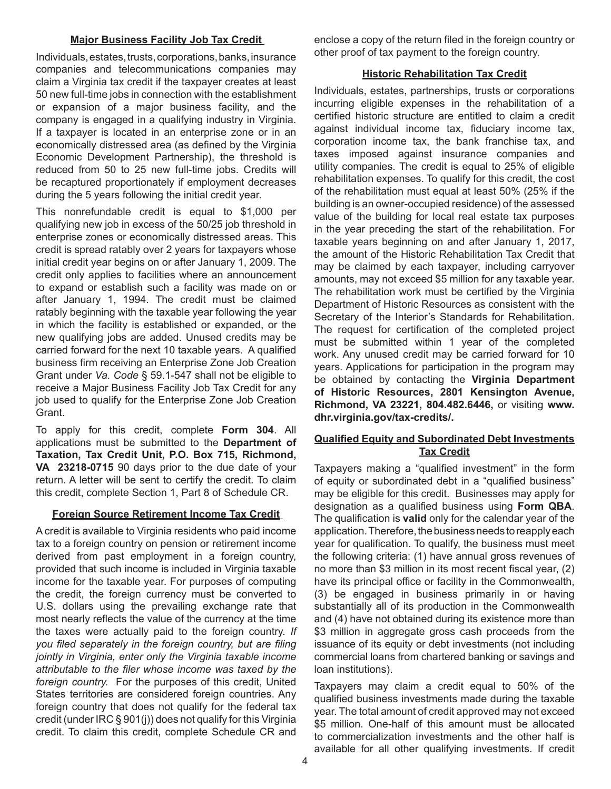#### **Major Business Facility Job Tax Credit**

Individuals, estates, trusts, corporations, banks, insurance companies and telecommunications companies may claim a Virginia tax credit if the taxpayer creates at least 50 new full-time jobs in connection with the establishment or expansion of a major business facility, and the company is engaged in a qualifying industry in Virginia. If a taxpayer is located in an enterprise zone or in an economically distressed area (as defined by the Virginia Economic Development Partnership), the threshold is reduced from 50 to 25 new full-time jobs. Credits will be recaptured proportionately if employment decreases during the 5 years following the initial credit year.

This nonrefundable credit is equal to \$1,000 per qualifying new job in excess of the 50/25 job threshold in enterprise zones or economically distressed areas. This credit is spread ratably over 2 years for taxpayers whose initial credit year begins on or after January 1, 2009. The credit only applies to facilities where an announcement to expand or establish such a facility was made on or after January 1, 1994. The credit must be claimed ratably beginning with the taxable year following the year in which the facility is established or expanded, or the new qualifying jobs are added. Unused credits may be carried forward for the next 10 taxable years. A qualified business firm receiving an Enterprise Zone Job Creation Grant under *Va. Code* § 59.1-547 shall not be eligible to receive a Major Business Facility Job Tax Credit for any job used to qualify for the Enterprise Zone Job Creation Grant.

To apply for this credit, complete **Form 304**. All applications must be submitted to the **Department of Taxation, Tax Credit Unit, P.O. Box 715, Richmond, VA 23218-0715** 90 days prior to the due date of your return. A letter will be sent to certify the credit. To claim this credit, complete Section 1, Part 8 of Schedule CR.

### **Foreign Source Retirement Income Tax Credit**

A credit is available to Virginia residents who paid income tax to a foreign country on pension or retirement income derived from past employment in a foreign country, provided that such income is included in Virginia taxable income for the taxable year. For purposes of computing the credit, the foreign currency must be converted to U.S. dollars using the prevailing exchange rate that most nearly reflects the value of the currency at the time the taxes were actually paid to the foreign country. *If you filed separately in the foreign country, but are filing jointly in Virginia, enter only the Virginia taxable income attributable to the filer whose income was taxed by the foreign country.* For the purposes of this credit, United States territories are considered foreign countries. Any foreign country that does not qualify for the federal tax credit (under IRC § 901(j)) does not qualify for this Virginia credit. To claim this credit, complete Schedule CR and

enclose a copy of the return filed in the foreign country or other proof of tax payment to the foreign country.

## **Historic Rehabilitation Tax Credit**

Individuals, estates, partnerships, trusts or corporations incurring eligible expenses in the rehabilitation of a certified historic structure are entitled to claim a credit against individual income tax, fiduciary income tax, corporation income tax, the bank franchise tax, and taxes imposed against insurance companies and utility companies. The credit is equal to 25% of eligible rehabilitation expenses. To qualify for this credit, the cost of the rehabilitation must equal at least 50% (25% if the building is an owner-occupied residence) of the assessed value of the building for local real estate tax purposes in the year preceding the start of the rehabilitation. For taxable years beginning on and after January 1, 2017, the amount of the Historic Rehabilitation Tax Credit that may be claimed by each taxpayer, including carryover amounts, may not exceed \$5 million for any taxable year. The rehabilitation work must be certified by the Virginia Department of Historic Resources as consistent with the Secretary of the Interior's Standards for Rehabilitation. The request for certification of the completed project must be submitted within 1 year of the completed work. Any unused credit may be carried forward for 10 years. Applications for participation in the program may be obtained by contacting the **Virginia Department of Historic Resources, 2801 Kensington Avenue, Richmond, VA 23221, 804.482.6446,** or visiting **www. dhr.virginia.gov/tax-credits/.** 

## **Qualified Equity and Subordinated Debt Investments Tax Credit**

Taxpayers making a "qualified investment" in the form of equity or subordinated debt in a "qualified business" may be eligible for this credit. Businesses may apply for designation as a qualified business using **Form QBA**. The qualification is **valid** only for the calendar year of the application. Therefore, the business needs to reapply each year for qualification. To qualify, the business must meet the following criteria: (1) have annual gross revenues of no more than \$3 million in its most recent fiscal year, (2) have its principal office or facility in the Commonwealth, (3) be engaged in business primarily in or having substantially all of its production in the Commonwealth and (4) have not obtained during its existence more than \$3 million in aggregate gross cash proceeds from the issuance of its equity or debt investments (not including commercial loans from chartered banking or savings and loan institutions).

Taxpayers may claim a credit equal to 50% of the qualified business investments made during the taxable year. The total amount of credit approved may not exceed \$5 million. One-half of this amount must be allocated to commercialization investments and the other half is available for all other qualifying investments. If credit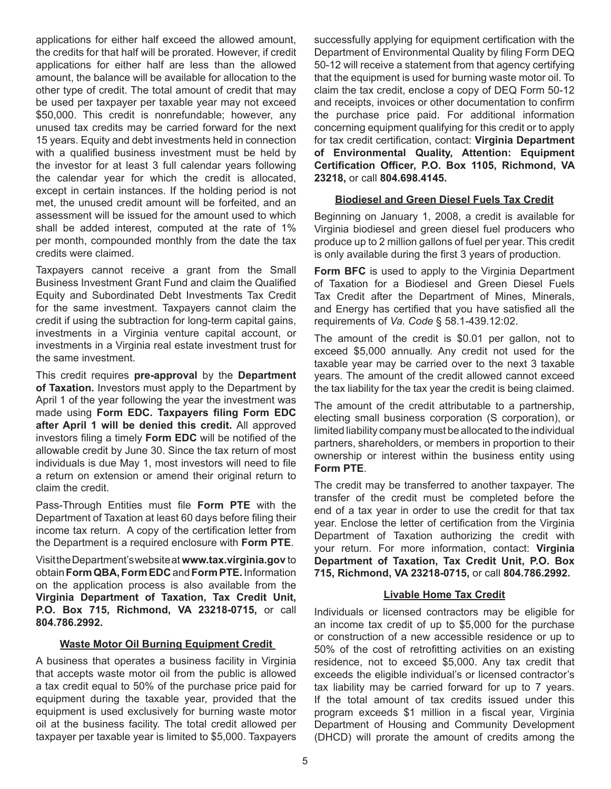applications for either half exceed the allowed amount, the credits for that half will be prorated. However, if credit applications for either half are less than the allowed amount, the balance will be available for allocation to the other type of credit. The total amount of credit that may be used per taxpayer per taxable year may not exceed \$50,000. This credit is nonrefundable; however, any unused tax credits may be carried forward for the next 15 years. Equity and debt investments held in connection with a qualified business investment must be held by the investor for at least 3 full calendar years following the calendar year for which the credit is allocated, except in certain instances. If the holding period is not met, the unused credit amount will be forfeited, and an assessment will be issued for the amount used to which shall be added interest, computed at the rate of 1% per month, compounded monthly from the date the tax credits were claimed.

Taxpayers cannot receive a grant from the Small Business Investment Grant Fund and claim the Qualified Equity and Subordinated Debt Investments Tax Credit for the same investment. Taxpayers cannot claim the credit if using the subtraction for long-term capital gains, investments in a Virginia venture capital account, or investments in a Virginia real estate investment trust for the same investment.

This credit requires **pre-approval** by the **Department of Taxation.** Investors must apply to the Department by April 1 of the year following the year the investment was made using **Form EDC. Taxpayers filing Form EDC after April 1 will be denied this credit.** All approved investors filing a timely **Form EDC** will be notified of the allowable credit by June 30. Since the tax return of most individuals is due May 1, most investors will need to file a return on extension or amend their original return to claim the credit.

Pass-Through Entities must file **Form PTE** with the Department of Taxation at least 60 days before filing their income tax return. A copy of the certification letter from the Department is a required enclosure with **Form PTE**.

Visit the Department's website at **www.tax.virginia.gov** to obtain **Form QBA,Form EDC** and **Form PTE.** Information on the application process is also available from the **Virginia Department of Taxation, Tax Credit Unit, P.O. Box 715, Richmond, VA 23218-0715,** or call **804.786.2992.**

# **Waste Motor Oil Burning Equipment Credit**

A business that operates a business facility in Virginia that accepts waste motor oil from the public is allowed a tax credit equal to 50% of the purchase price paid for equipment during the taxable year, provided that the equipment is used exclusively for burning waste motor oil at the business facility. The total credit allowed per taxpayer per taxable year is limited to \$5,000. Taxpayers successfully applying for equipment certification with the Department of Environmental Quality by filing Form DEQ 50-12 will receive a statement from that agency certifying that the equipment is used for burning waste motor oil. To claim the tax credit, enclose a copy of DEQ Form 50-12 and receipts, invoices or other documentation to confirm the purchase price paid. For additional information concerning equipment qualifying for this credit or to apply for tax credit certification, contact: **Virginia Department of Environmental Quality, Attention: Equipment Certification Officer, P.O. Box 1105, Richmond, VA 23218,** or call **804.698.4145.**

### **Biodiesel and Green Diesel Fuels Tax Credit**

Beginning on January 1, 2008, a credit is available for Virginia biodiesel and green diesel fuel producers who produce up to 2 million gallons of fuel per year. This credit is only available during the first 3 years of production.

**Form BFC** is used to apply to the Virginia Department of Taxation for a Biodiesel and Green Diesel Fuels Tax Credit after the Department of Mines, Minerals, and Energy has certified that you have satisfied all the requirements of *Va. Code* § 58.1-439.12:02.

The amount of the credit is \$0.01 per gallon, not to exceed \$5,000 annually. Any credit not used for the taxable year may be carried over to the next 3 taxable years. The amount of the credit allowed cannot exceed the tax liability for the tax year the credit is being claimed.

The amount of the credit attributable to a partnership, electing small business corporation (S corporation), or limited liability company must be allocated to the individual partners, shareholders, or members in proportion to their ownership or interest within the business entity using **Form PTE**.

The credit may be transferred to another taxpayer. The transfer of the credit must be completed before the end of a tax year in order to use the credit for that tax year. Enclose the letter of certification from the Virginia Department of Taxation authorizing the credit with your return. For more information, contact: **Virginia Department of Taxation, Tax Credit Unit, P.O. Box 715, Richmond, VA 23218-0715,** or call **804.786.2992.**

### **Livable Home Tax Credit**

Individuals or licensed contractors may be eligible for an income tax credit of up to \$5,000 for the purchase or construction of a new accessible residence or up to 50% of the cost of retrofitting activities on an existing residence, not to exceed \$5,000. Any tax credit that exceeds the eligible individual's or licensed contractor's tax liability may be carried forward for up to 7 years. If the total amount of tax credits issued under this program exceeds \$1 million in a fiscal year, Virginia Department of Housing and Community Development (DHCD) will prorate the amount of credits among the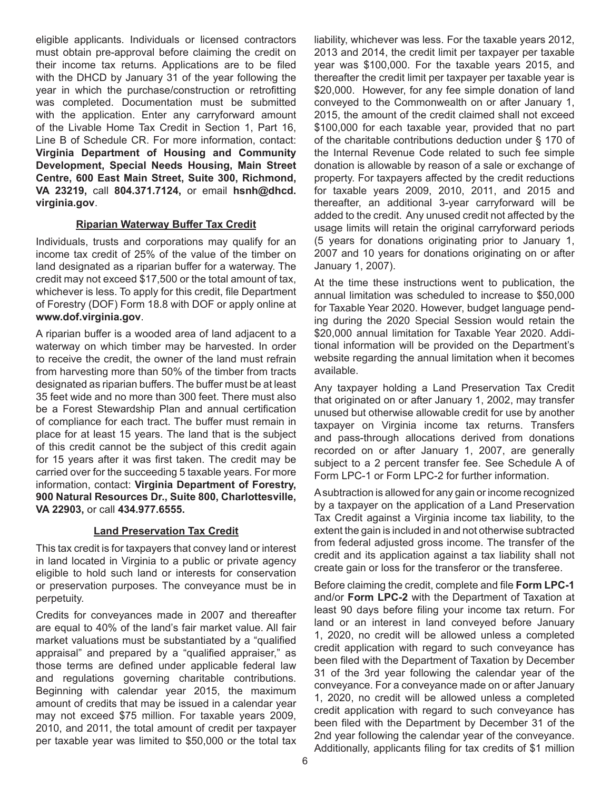eligible applicants. Individuals or licensed contractors must obtain pre-approval before claiming the credit on their income tax returns. Applications are to be filed with the DHCD by January 31 of the year following the year in which the purchase/construction or retrofitting was completed. Documentation must be submitted with the application. Enter any carryforward amount of the Livable Home Tax Credit in Section 1, Part 16, Line B of Schedule CR. For more information, contact: **Virginia Department of Housing and Community Development, Special Needs Housing, Main Street Centre, 600 East Main Street, Suite 300, Richmond, VA 23219,** call **804.371.7124,** or email **hsnh@dhcd. virginia.gov**.

## **Riparian Waterway Buffer Tax Credit**

Individuals, trusts and corporations may qualify for an income tax credit of 25% of the value of the timber on land designated as a riparian buffer for a waterway. The credit may not exceed \$17,500 or the total amount of tax, whichever is less. To apply for this credit, file Department of Forestry (DOF) Form 18.8 with DOF or apply online at **www.dof.virginia.gov**.

A riparian buffer is a wooded area of land adjacent to a waterway on which timber may be harvested. In order to receive the credit, the owner of the land must refrain from harvesting more than 50% of the timber from tracts designated as riparian buffers. The buffer must be at least 35 feet wide and no more than 300 feet. There must also be a Forest Stewardship Plan and annual certification of compliance for each tract. The buffer must remain in place for at least 15 years. The land that is the subject of this credit cannot be the subject of this credit again for 15 years after it was first taken. The credit may be carried over for the succeeding 5 taxable years. For more information, contact: **Virginia Department of Forestry, 900 Natural Resources Dr., Suite 800, Charlottesville, VA 22903,** or call **434.977.6555.** 

### **Land Preservation Tax Credit**

This tax credit is for taxpayers that convey land or interest in land located in Virginia to a public or private agency eligible to hold such land or interests for conservation or preservation purposes. The conveyance must be in perpetuity.

Credits for conveyances made in 2007 and thereafter are equal to 40% of the land's fair market value. All fair market valuations must be substantiated by a "qualified appraisal" and prepared by a "qualified appraiser," as those terms are defined under applicable federal law and regulations governing charitable contributions. Beginning with calendar year 2015, the maximum amount of credits that may be issued in a calendar year may not exceed \$75 million. For taxable years 2009, 2010, and 2011, the total amount of credit per taxpayer per taxable year was limited to \$50,000 or the total tax liability, whichever was less. For the taxable years 2012, 2013 and 2014, the credit limit per taxpayer per taxable year was \$100,000. For the taxable years 2015, and thereafter the credit limit per taxpayer per taxable year is \$20,000. However, for any fee simple donation of land conveyed to the Commonwealth on or after January 1, 2015, the amount of the credit claimed shall not exceed \$100,000 for each taxable year, provided that no part of the charitable contributions deduction under § 170 of the Internal Revenue Code related to such fee simple donation is allowable by reason of a sale or exchange of property. For taxpayers affected by the credit reductions for taxable years 2009, 2010, 2011, and 2015 and thereafter, an additional 3-year carryforward will be added to the credit. Any unused credit not affected by the usage limits will retain the original carryforward periods (5 years for donations originating prior to January 1, 2007 and 10 years for donations originating on or after January 1, 2007).

At the time these instructions went to publication, the annual limitation was scheduled to increase to \$50,000 for Taxable Year 2020. However, budget language pending during the 2020 Special Session would retain the \$20,000 annual limitation for Taxable Year 2020. Additional information will be provided on the Department's website regarding the annual limitation when it becomes available.

Any taxpayer holding a Land Preservation Tax Credit that originated on or after January 1, 2002, may transfer unused but otherwise allowable credit for use by another taxpayer on Virginia income tax returns. Transfers and pass-through allocations derived from donations recorded on or after January 1, 2007, are generally subject to a 2 percent transfer fee. See Schedule A of Form LPC-1 or Form LPC-2 for further information.

A subtraction is allowed for any gain or income recognized by a taxpayer on the application of a Land Preservation Tax Credit against a Virginia income tax liability, to the extent the gain is included in and not otherwise subtracted from federal adjusted gross income. The transfer of the credit and its application against a tax liability shall not create gain or loss for the transferor or the transferee.

Before claiming the credit, complete and file **Form LPC-1**  and/or **Form LPC-2** with the Department of Taxation at least 90 days before filing your income tax return. For land or an interest in land conveyed before January 1, 2020, no credit will be allowed unless a completed credit application with regard to such conveyance has been filed with the Department of Taxation by December 31 of the 3rd year following the calendar year of the conveyance. For a conveyance made on or after January 1, 2020, no credit will be allowed unless a completed credit application with regard to such conveyance has been filed with the Department by December 31 of the 2nd year following the calendar year of the conveyance. Additionally, applicants filing for tax credits of \$1 million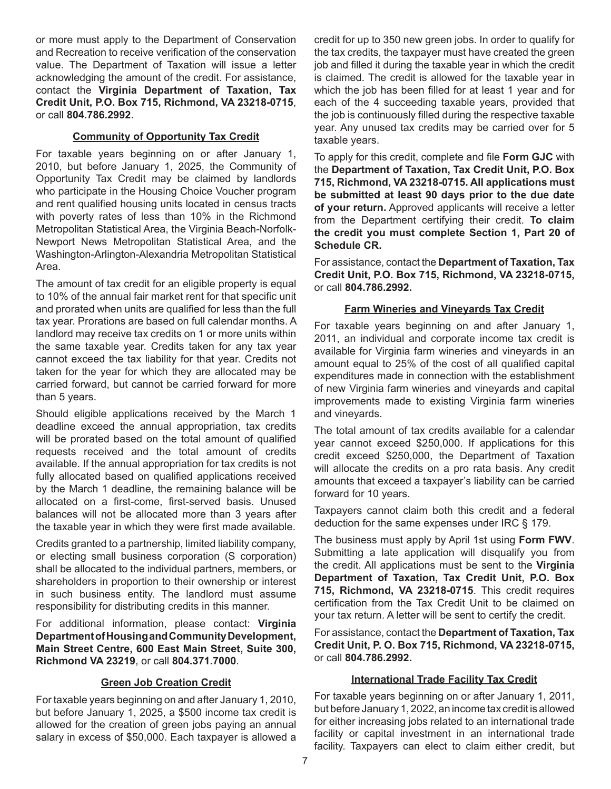or more must apply to the Department of Conservation and Recreation to receive verification of the conservation value. The Department of Taxation will issue a letter acknowledging the amount of the credit. For assistance, contact the **Virginia Department of Taxation, Tax Credit Unit, P.O. Box 715, Richmond, VA 23218-0715**, or call **804.786.2992**.

### **Community of Opportunity Tax Credit**

For taxable years beginning on or after January 1, 2010, but before January 1, 2025, the Community of Opportunity Tax Credit may be claimed by landlords who participate in the Housing Choice Voucher program and rent qualified housing units located in census tracts with poverty rates of less than 10% in the Richmond Metropolitan Statistical Area, the Virginia Beach-Norfolk-Newport News Metropolitan Statistical Area, and the Washington-Arlington-Alexandria Metropolitan Statistical Area.

The amount of tax credit for an eligible property is equal to 10% of the annual fair market rent for that specific unit and prorated when units are qualified for less than the full tax year. Prorations are based on full calendar months. A landlord may receive tax credits on 1 or more units within the same taxable year. Credits taken for any tax year cannot exceed the tax liability for that year. Credits not taken for the year for which they are allocated may be carried forward, but cannot be carried forward for more than 5 years.

Should eligible applications received by the March 1 deadline exceed the annual appropriation, tax credits will be prorated based on the total amount of qualified requests received and the total amount of credits available. If the annual appropriation for tax credits is not fully allocated based on qualified applications received by the March 1 deadline, the remaining balance will be allocated on a first-come, first-served basis. Unused balances will not be allocated more than 3 years after the taxable year in which they were first made available.

Credits granted to a partnership, limited liability company, or electing small business corporation (S corporation) shall be allocated to the individual partners, members, or shareholders in proportion to their ownership or interest in such business entity. The landlord must assume responsibility for distributing credits in this manner.

For additional information, please contact: **Virginia Department of Housing and Community Development, Main Street Centre, 600 East Main Street, Suite 300, Richmond VA 23219**, or call **804.371.7000**.

# **Green Job Creation Credit**

For taxable years beginning on and after January 1, 2010, but before January 1, 2025, a \$500 income tax credit is allowed for the creation of green jobs paying an annual salary in excess of \$50,000. Each taxpayer is allowed a credit for up to 350 new green jobs. In order to qualify for the tax credits, the taxpayer must have created the green job and filled it during the taxable year in which the credit is claimed. The credit is allowed for the taxable year in which the job has been filled for at least 1 year and for each of the 4 succeeding taxable years, provided that the job is continuously filled during the respective taxable year. Any unused tax credits may be carried over for 5 taxable years.

To apply for this credit, complete and file **Form GJC** with the **Department of Taxation, Tax Credit Unit, P.O. Box 715, Richmond, VA 23218-0715. All applications must be submitted at least 90 days prior to the due date of your return.** Approved applicants will receive a letter from the Department certifying their credit. **To claim the credit you must complete Section 1, Part 20 of Schedule CR.**

For assistance, contact the **Department of Taxation, Tax Credit Unit, P.O. Box 715, Richmond, VA 23218-0715,**  or call **804.786.2992.**

## **Farm Wineries and Vineyards Tax Credit**

For taxable years beginning on and after January 1, 2011, an individual and corporate income tax credit is available for Virginia farm wineries and vineyards in an amount equal to 25% of the cost of all qualified capital expenditures made in connection with the establishment of new Virginia farm wineries and vineyards and capital improvements made to existing Virginia farm wineries and vineyards.

The total amount of tax credits available for a calendar year cannot exceed \$250,000. If applications for this credit exceed \$250,000, the Department of Taxation will allocate the credits on a pro rata basis. Any credit amounts that exceed a taxpayer's liability can be carried forward for 10 years.

Taxpayers cannot claim both this credit and a federal deduction for the same expenses under IRC § 179.

The business must apply by April 1st using **Form FWV**. Submitting a late application will disqualify you from the credit. All applications must be sent to the **Virginia Department of Taxation, Tax Credit Unit, P.O. Box 715, Richmond, VA 23218-0715**. This credit requires certification from the Tax Credit Unit to be claimed on your tax return. A letter will be sent to certify the credit.

For assistance, contact the **Department of Taxation, Tax Credit Unit, P. O. Box 715, Richmond, VA 23218-0715,**  or call **804.786.2992.**

# **International Trade Facility Tax Credit**

For taxable years beginning on or after January 1, 2011, but before January 1, 2022, an income tax credit is allowed for either increasing jobs related to an international trade facility or capital investment in an international trade facility. Taxpayers can elect to claim either credit, but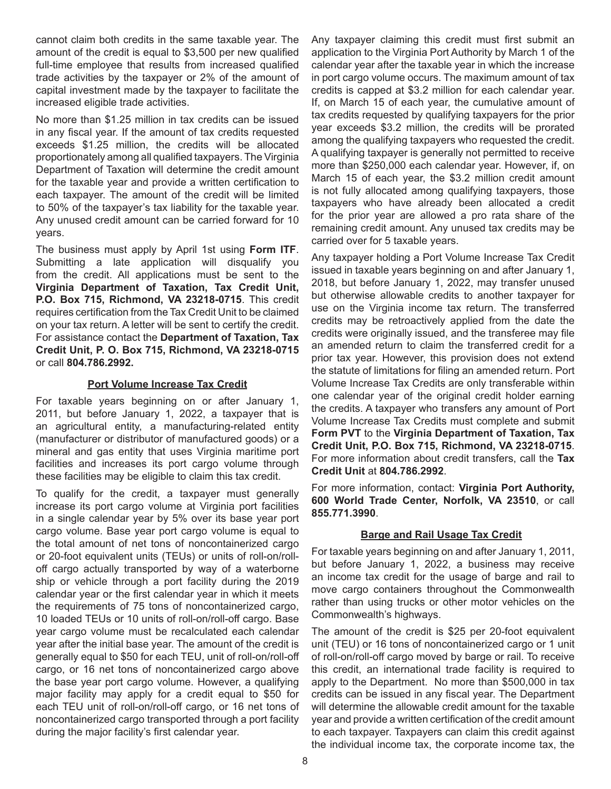cannot claim both credits in the same taxable year. The amount of the credit is equal to \$3,500 per new qualified full-time employee that results from increased qualified trade activities by the taxpayer or 2% of the amount of capital investment made by the taxpayer to facilitate the increased eligible trade activities.

No more than \$1.25 million in tax credits can be issued in any fiscal year. If the amount of tax credits requested exceeds \$1.25 million, the credits will be allocated proportionately among all qualified taxpayers. The Virginia Department of Taxation will determine the credit amount for the taxable year and provide a written certification to each taxpayer. The amount of the credit will be limited to 50% of the taxpayer's tax liability for the taxable year. Any unused credit amount can be carried forward for 10 years.

The business must apply by April 1st using **Form ITF**. Submitting a late application will disqualify you from the credit. All applications must be sent to the **Virginia Department of Taxation, Tax Credit Unit, P.O. Box 715, Richmond, VA 23218-0715**. This credit requires certification from the Tax Credit Unit to be claimed on your tax return. A letter will be sent to certify the credit. For assistance contact the **Department of Taxation, Tax Credit Unit, P. O. Box 715, Richmond, VA 23218-0715**  or call **804.786.2992.**

### **Port Volume Increase Tax Credit**

For taxable years beginning on or after January 1, 2011, but before January 1, 2022, a taxpayer that is an agricultural entity, a manufacturing-related entity (manufacturer or distributor of manufactured goods) or a mineral and gas entity that uses Virginia maritime port facilities and increases its port cargo volume through these facilities may be eligible to claim this tax credit.

To qualify for the credit, a taxpayer must generally increase its port cargo volume at Virginia port facilities in a single calendar year by 5% over its base year port cargo volume. Base year port cargo volume is equal to the total amount of net tons of noncontainerized cargo or 20-foot equivalent units (TEUs) or units of roll-on/rolloff cargo actually transported by way of a waterborne ship or vehicle through a port facility during the 2019 calendar year or the first calendar year in which it meets the requirements of 75 tons of noncontainerized cargo, 10 loaded TEUs or 10 units of roll-on/roll-off cargo. Base year cargo volume must be recalculated each calendar year after the initial base year. The amount of the credit is generally equal to \$50 for each TEU, unit of roll-on/roll-off cargo, or 16 net tons of noncontainerized cargo above the base year port cargo volume. However, a qualifying major facility may apply for a credit equal to \$50 for each TEU unit of roll-on/roll-off cargo, or 16 net tons of noncontainerized cargo transported through a port facility during the major facility's first calendar year.

Any taxpayer claiming this credit must first submit an application to the Virginia Port Authority by March 1 of the calendar year after the taxable year in which the increase in port cargo volume occurs. The maximum amount of tax credits is capped at \$3.2 million for each calendar year. If, on March 15 of each year, the cumulative amount of tax credits requested by qualifying taxpayers for the prior year exceeds \$3.2 million, the credits will be prorated among the qualifying taxpayers who requested the credit. A qualifying taxpayer is generally not permitted to receive more than \$250,000 each calendar year. However, if, on March 15 of each year, the \$3.2 million credit amount is not fully allocated among qualifying taxpayers, those taxpayers who have already been allocated a credit for the prior year are allowed a pro rata share of the remaining credit amount. Any unused tax credits may be carried over for 5 taxable years.

Any taxpayer holding a Port Volume Increase Tax Credit issued in taxable years beginning on and after January 1, 2018, but before January 1, 2022, may transfer unused but otherwise allowable credits to another taxpayer for use on the Virginia income tax return. The transferred credits may be retroactively applied from the date the credits were originally issued, and the transferee may file an amended return to claim the transferred credit for a prior tax year. However, this provision does not extend the statute of limitations for filing an amended return. Port Volume Increase Tax Credits are only transferable within one calendar year of the original credit holder earning the credits. A taxpayer who transfers any amount of Port Volume Increase Tax Credits must complete and submit **Form PVT** to the **Virginia Department of Taxation, Tax Credit Unit, P.O. Box 715, Richmond, VA 23218-0715**. For more information about credit transfers, call the **Tax Credit Unit** at **804.786.2992**.

For more information, contact: **Virginia Port Authority, 600 World Trade Center, Norfolk, VA 23510**, or call **855.771.3990**.

### **Barge and Rail Usage Tax Credit**

For taxable years beginning on and after January 1, 2011, but before January 1, 2022, a business may receive an income tax credit for the usage of barge and rail to move cargo containers throughout the Commonwealth rather than using trucks or other motor vehicles on the Commonwealth's highways.

The amount of the credit is \$25 per 20-foot equivalent unit (TEU) or 16 tons of noncontainerized cargo or 1 unit of roll-on/roll-off cargo moved by barge or rail. To receive this credit, an international trade facility is required to apply to the Department. No more than \$500,000 in tax credits can be issued in any fiscal year. The Department will determine the allowable credit amount for the taxable year and provide a written certification of the credit amount to each taxpayer. Taxpayers can claim this credit against the individual income tax, the corporate income tax, the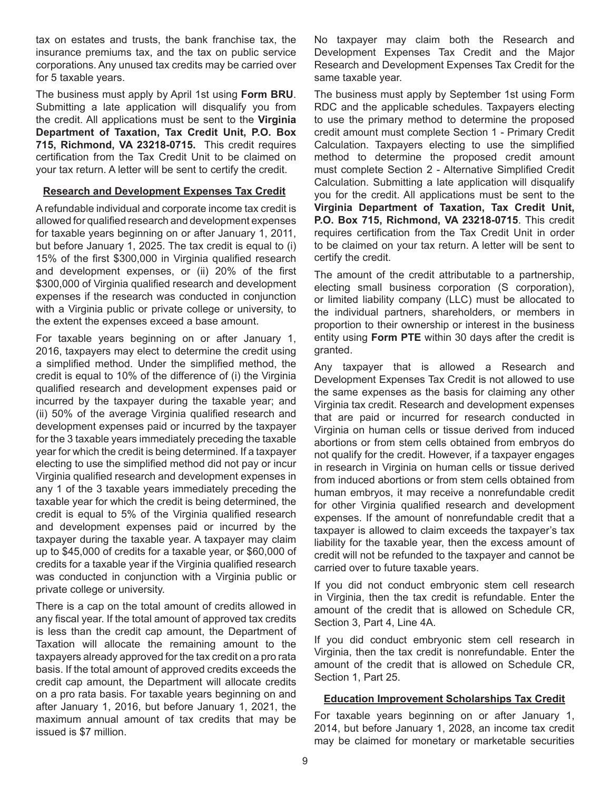tax on estates and trusts, the bank franchise tax, the insurance premiums tax, and the tax on public service corporations. Any unused tax credits may be carried over for 5 taxable years.

The business must apply by April 1st using **Form BRU**. Submitting a late application will disqualify you from the credit. All applications must be sent to the **Virginia Department of Taxation, Tax Credit Unit, P.O. Box 715, Richmond, VA 23218-0715.** This credit requires certification from the Tax Credit Unit to be claimed on your tax return. A letter will be sent to certify the credit.

### **Research and Development Expenses Tax Credit**

A refundable individual and corporate income tax credit is allowed for qualified research and development expenses for taxable years beginning on or after January 1, 2011, but before January 1, 2025. The tax credit is equal to (i) 15% of the first \$300,000 in Virginia qualified research and development expenses, or (ii) 20% of the first \$300,000 of Virginia qualified research and development expenses if the research was conducted in conjunction with a Virginia public or private college or university, to the extent the expenses exceed a base amount.

For taxable years beginning on or after January 1, 2016, taxpayers may elect to determine the credit using a simplified method. Under the simplified method, the credit is equal to 10% of the difference of (i) the Virginia qualified research and development expenses paid or incurred by the taxpayer during the taxable year; and (ii) 50% of the average Virginia qualified research and development expenses paid or incurred by the taxpayer for the 3 taxable years immediately preceding the taxable year for which the credit is being determined. If a taxpayer electing to use the simplified method did not pay or incur Virginia qualified research and development expenses in any 1 of the 3 taxable years immediately preceding the taxable year for which the credit is being determined, the credit is equal to 5% of the Virginia qualified research and development expenses paid or incurred by the taxpayer during the taxable year. A taxpayer may claim up to \$45,000 of credits for a taxable year, or \$60,000 of credits for a taxable year if the Virginia qualified research was conducted in conjunction with a Virginia public or private college or university.

There is a cap on the total amount of credits allowed in any fiscal year. If the total amount of approved tax credits is less than the credit cap amount, the Department of Taxation will allocate the remaining amount to the taxpayers already approved for the tax credit on a pro rata basis. If the total amount of approved credits exceeds the credit cap amount, the Department will allocate credits on a pro rata basis. For taxable years beginning on and after January 1, 2016, but before January 1, 2021, the maximum annual amount of tax credits that may be issued is \$7 million.

No taxpayer may claim both the Research and Development Expenses Tax Credit and the Major Research and Development Expenses Tax Credit for the same taxable year.

The business must apply by September 1st using Form RDC and the applicable schedules. Taxpayers electing to use the primary method to determine the proposed credit amount must complete Section 1 - Primary Credit Calculation. Taxpayers electing to use the simplified method to determine the proposed credit amount must complete Section 2 - Alternative Simplified Credit Calculation. Submitting a late application will disqualify you for the credit. All applications must be sent to the **Virginia Department of Taxation, Tax Credit Unit, P.O. Box 715, Richmond, VA 23218-0715**. This credit requires certification from the Tax Credit Unit in order to be claimed on your tax return. A letter will be sent to certify the credit.

The amount of the credit attributable to a partnership, electing small business corporation (S corporation), or limited liability company (LLC) must be allocated to the individual partners, shareholders, or members in proportion to their ownership or interest in the business entity using **Form PTE** within 30 days after the credit is granted.

Any taxpayer that is allowed a Research and Development Expenses Tax Credit is not allowed to use the same expenses as the basis for claiming any other Virginia tax credit. Research and development expenses that are paid or incurred for research conducted in Virginia on human cells or tissue derived from induced abortions or from stem cells obtained from embryos do not qualify for the credit. However, if a taxpayer engages in research in Virginia on human cells or tissue derived from induced abortions or from stem cells obtained from human embryos, it may receive a nonrefundable credit for other Virginia qualified research and development expenses. If the amount of nonrefundable credit that a taxpayer is allowed to claim exceeds the taxpayer's tax liability for the taxable year, then the excess amount of credit will not be refunded to the taxpayer and cannot be carried over to future taxable years.

If you did not conduct embryonic stem cell research in Virginia, then the tax credit is refundable. Enter the amount of the credit that is allowed on Schedule CR, Section 3, Part 4, Line 4A.

If you did conduct embryonic stem cell research in Virginia, then the tax credit is nonrefundable. Enter the amount of the credit that is allowed on Schedule CR, Section 1, Part 25.

#### **Education Improvement Scholarships Tax Credit**

For taxable years beginning on or after January 1, 2014, but before January 1, 2028, an income tax credit may be claimed for monetary or marketable securities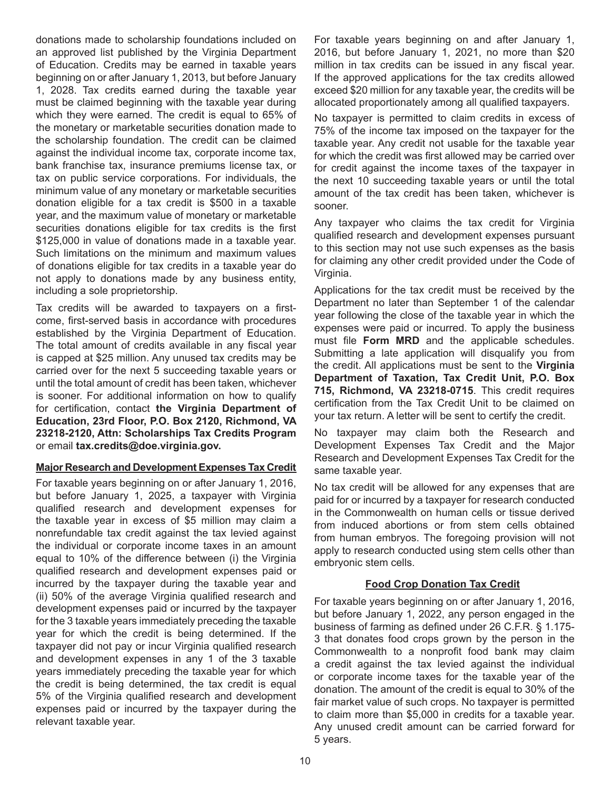donations made to scholarship foundations included on an approved list published by the Virginia Department of Education. Credits may be earned in taxable years beginning on or after January 1, 2013, but before January 1, 2028. Tax credits earned during the taxable year must be claimed beginning with the taxable year during which they were earned. The credit is equal to 65% of the monetary or marketable securities donation made to the scholarship foundation. The credit can be claimed against the individual income tax, corporate income tax, bank franchise tax, insurance premiums license tax, or tax on public service corporations. For individuals, the minimum value of any monetary or marketable securities donation eligible for a tax credit is \$500 in a taxable year, and the maximum value of monetary or marketable securities donations eligible for tax credits is the first \$125,000 in value of donations made in a taxable year. Such limitations on the minimum and maximum values of donations eligible for tax credits in a taxable year do not apply to donations made by any business entity, including a sole proprietorship.

Tax credits will be awarded to taxpayers on a firstcome, first-served basis in accordance with procedures established by the Virginia Department of Education. The total amount of credits available in any fiscal year is capped at \$25 million. Any unused tax credits may be carried over for the next 5 succeeding taxable years or until the total amount of credit has been taken, whichever is sooner. For additional information on how to qualify for certification, contact **the Virginia Department of Education, 23rd Floor, P.O. Box 2120, Richmond, VA 23218-2120, Attn: Scholarships Tax Credits Program**  or email **tax.credits@doe.virginia.gov.**

### **Major Research and Development Expenses Tax Credit**

For taxable years beginning on or after January 1, 2016, but before January 1, 2025, a taxpayer with Virginia qualified research and development expenses for the taxable year in excess of \$5 million may claim a nonrefundable tax credit against the tax levied against the individual or corporate income taxes in an amount equal to 10% of the difference between (i) the Virginia qualified research and development expenses paid or incurred by the taxpayer during the taxable year and (ii) 50% of the average Virginia qualified research and development expenses paid or incurred by the taxpayer for the 3 taxable years immediately preceding the taxable year for which the credit is being determined. If the taxpayer did not pay or incur Virginia qualified research and development expenses in any 1 of the 3 taxable years immediately preceding the taxable year for which the credit is being determined, the tax credit is equal 5% of the Virginia qualified research and development expenses paid or incurred by the taxpayer during the relevant taxable year.

For taxable years beginning on and after January 1, 2016, but before January 1, 2021, no more than \$20 million in tax credits can be issued in any fiscal year. If the approved applications for the tax credits allowed exceed \$20 million for any taxable year, the credits will be allocated proportionately among all qualified taxpayers.

No taxpayer is permitted to claim credits in excess of 75% of the income tax imposed on the taxpayer for the taxable year. Any credit not usable for the taxable year for which the credit was first allowed may be carried over for credit against the income taxes of the taxpayer in the next 10 succeeding taxable years or until the total amount of the tax credit has been taken, whichever is sooner.

Any taxpayer who claims the tax credit for Virginia qualified research and development expenses pursuant to this section may not use such expenses as the basis for claiming any other credit provided under the Code of Virginia.

Applications for the tax credit must be received by the Department no later than September 1 of the calendar year following the close of the taxable year in which the expenses were paid or incurred. To apply the business must file **Form MRD** and the applicable schedules. Submitting a late application will disqualify you from the credit. All applications must be sent to the **Virginia Department of Taxation, Tax Credit Unit, P.O. Box 715, Richmond, VA 23218-0715**. This credit requires certification from the Tax Credit Unit to be claimed on your tax return. A letter will be sent to certify the credit.

No taxpayer may claim both the Research and Development Expenses Tax Credit and the Major Research and Development Expenses Tax Credit for the same taxable year.

No tax credit will be allowed for any expenses that are paid for or incurred by a taxpayer for research conducted in the Commonwealth on human cells or tissue derived from induced abortions or from stem cells obtained from human embryos. The foregoing provision will not apply to research conducted using stem cells other than embryonic stem cells.

### **Food Crop Donation Tax Credit**

For taxable years beginning on or after January 1, 2016, but before January 1, 2022, any person engaged in the business of farming as defined under 26 C.F.R. § 1.175- 3 that donates food crops grown by the person in the Commonwealth to a nonprofit food bank may claim a credit against the tax levied against the individual or corporate income taxes for the taxable year of the donation. The amount of the credit is equal to 30% of the fair market value of such crops. No taxpayer is permitted to claim more than \$5,000 in credits for a taxable year. Any unused credit amount can be carried forward for 5 years.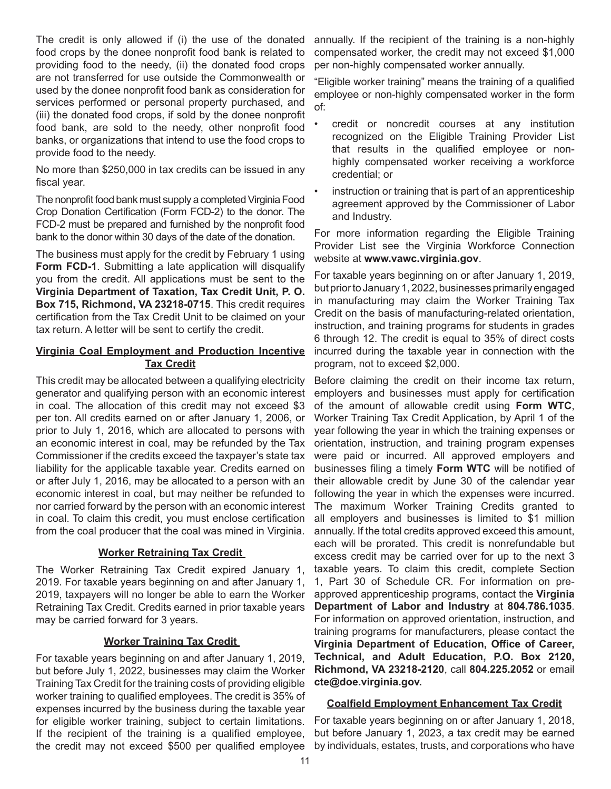The credit is only allowed if (i) the use of the donated food crops by the donee nonprofit food bank is related to providing food to the needy, (ii) the donated food crops are not transferred for use outside the Commonwealth or used by the donee nonprofit food bank as consideration for services performed or personal property purchased, and (iii) the donated food crops, if sold by the donee nonprofit food bank, are sold to the needy, other nonprofit food banks, or organizations that intend to use the food crops to provide food to the needy.

No more than \$250,000 in tax credits can be issued in any fiscal year.

The nonprofit food bank must supply a completed Virginia Food Crop Donation Certification (Form FCD-2) to the donor. The FCD-2 must be prepared and furnished by the nonprofit food bank to the donor within 30 days of the date of the donation.

The business must apply for the credit by February 1 using **Form FCD-1.** Submitting a late application will disqualify you from the credit. All applications must be sent to the **Virginia Department of Taxation, Tax Credit Unit, P. O. Box 715, Richmond, VA 23218-0715**. This credit requires certification from the Tax Credit Unit to be claimed on your tax return. A letter will be sent to certify the credit.

### **Virginia Coal Employment and Production Incentive Tax Credit**

This credit may be allocated between a qualifying electricity generator and qualifying person with an economic interest in coal. The allocation of this credit may not exceed \$3 per ton. All credits earned on or after January 1, 2006, or prior to July 1, 2016, which are allocated to persons with an economic interest in coal, may be refunded by the Tax Commissioner if the credits exceed the taxpayer's state tax liability for the applicable taxable year. Credits earned on or after July 1, 2016, may be allocated to a person with an economic interest in coal, but may neither be refunded to nor carried forward by the person with an economic interest in coal. To claim this credit, you must enclose certification from the coal producer that the coal was mined in Virginia.

### **Worker Retraining Tax Credit**

The Worker Retraining Tax Credit expired January 1, 2019. For taxable years beginning on and after January 1, 2019, taxpayers will no longer be able to earn the Worker Retraining Tax Credit. Credits earned in prior taxable years may be carried forward for 3 years.

## **Worker Training Tax Credit**

For taxable years beginning on and after January 1, 2019, but before July 1, 2022, businesses may claim the Worker Training Tax Credit for the training costs of providing eligible worker training to qualified employees. The credit is 35% of expenses incurred by the business during the taxable year for eligible worker training, subject to certain limitations. If the recipient of the training is a qualified employee, the credit may not exceed \$500 per qualified employee

annually. If the recipient of the training is a non-highly compensated worker, the credit may not exceed \$1,000 per non-highly compensated worker annually.

"Eligible worker training" means the training of a qualified employee or non-highly compensated worker in the form of:

- credit or noncredit courses at any institution recognized on the Eligible Training Provider List that results in the qualified employee or nonhighly compensated worker receiving a workforce credential; or
- instruction or training that is part of an apprenticeship agreement approved by the Commissioner of Labor and Industry.

For more information regarding the Eligible Training Provider List see the Virginia Workforce Connection website at **www.vawc.virginia.gov**.

For taxable years beginning on or after January 1, 2019, but prior to January 1, 2022, businesses primarily engaged in manufacturing may claim the Worker Training Tax Credit on the basis of manufacturing-related orientation, instruction, and training programs for students in grades 6 through 12. The credit is equal to 35% of direct costs incurred during the taxable year in connection with the program, not to exceed \$2,000.

Before claiming the credit on their income tax return, employers and businesses must apply for certification of the amount of allowable credit using **Form WTC**, Worker Training Tax Credit Application, by April 1 of the year following the year in which the training expenses or orientation, instruction, and training program expenses were paid or incurred. All approved employers and businesses filing a timely **Form WTC** will be notified of their allowable credit by June 30 of the calendar year following the year in which the expenses were incurred. The maximum Worker Training Credits granted to all employers and businesses is limited to \$1 million annually. If the total credits approved exceed this amount, each will be prorated. This credit is nonrefundable but excess credit may be carried over for up to the next 3 taxable years. To claim this credit, complete Section 1, Part 30 of Schedule CR. For information on preapproved apprenticeship programs, contact the **Virginia Department of Labor and Industry** at **804.786.1035**. For information on approved orientation, instruction, and training programs for manufacturers, please contact the **Virginia Department of Education, Office of Career, Technical, and Adult Education, P.O. Box 2120, Richmond, VA 23218-2120**, call **804.225.2052** or email **cte@doe.virginia.gov.**

## **Coalfield Employment Enhancement Tax Credit**

For taxable years beginning on or after January 1, 2018, but before January 1, 2023, a tax credit may be earned by individuals, estates, trusts, and corporations who have